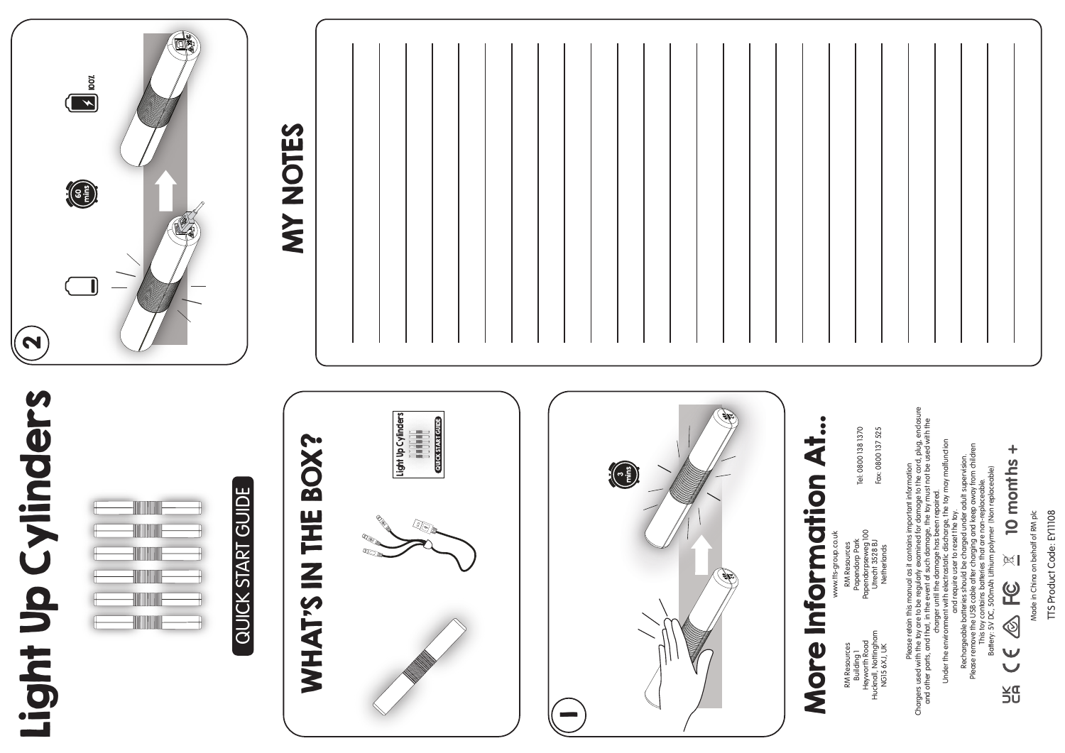## $100$ **MY NOTES** MY NOTES60 mins  $\boldsymbol{\mathsf{N}}$ Light Up Cylinders Light Up Cylinders Please redain this monual as it contains important information<br>and other parts, and that, in the event of such damage. the toy must not be used with the<br>and other parts, and that, in the event of such damage. the toy must Chargers used with the toy are to be regularly examined for damage to the cord, plug, enclosure Light Up Cylinders<br>Milliminin<br>Coverspart cures Light Up Cylinders More Information At... More Information At... and other parts, and that, in the event of such damage, the toy must not be used with the QUICK START GUIDE Tel: 0800 138 1370 Fax: 0800 137 525 Tel: 0800 138 1370 Fax: 0800 137 525 WHAT'S IN THE BOX? WHAT'S IN THE BOX? Under the environment with electrostatic discharge, the toy may malfunction Please remove the USB cable after charging and keep away from children 10 months + **10 months +** Rechargeable batteries should be charged under adult supervision. Please retain this manual as it contains important information 3 mins Battery: 5V DC, 500mAh Lithium polymer (Non replaceable) QUICK START GUIDE This toy contains batteries that are non-replaceable. QUICK START GUIDE charger until the damage has been repaired. and require user to reset the toy. www.itts-group.co.uk<br>RM Resources<br>Papedorp Park<br>Papedorpseweg 100<br>Uther 13528 BJ<br>Netherlands Papendorpseweg 100 www.tts-group.co.uk Papendorp Park Utrecht 3528 BJ RM Resources Netherlands  $\mathbb{R}^{\parallel}$  $\overline{Q}$  $\circledS$ RM Resources<br>Building 1<br>Heyworth Road<br>Hucknall, Notingham<br>NGI5 6XJ, UK Hucknall, Nottingham Heyworth Road  $\cup$ RM Resources NG15 6XJ, UK χg<br>5U 1

Made in China on behalf of RM plc Made in China on behalf of RM plc

TTS Product Code: EY11108

TTS Product Code: EY11108